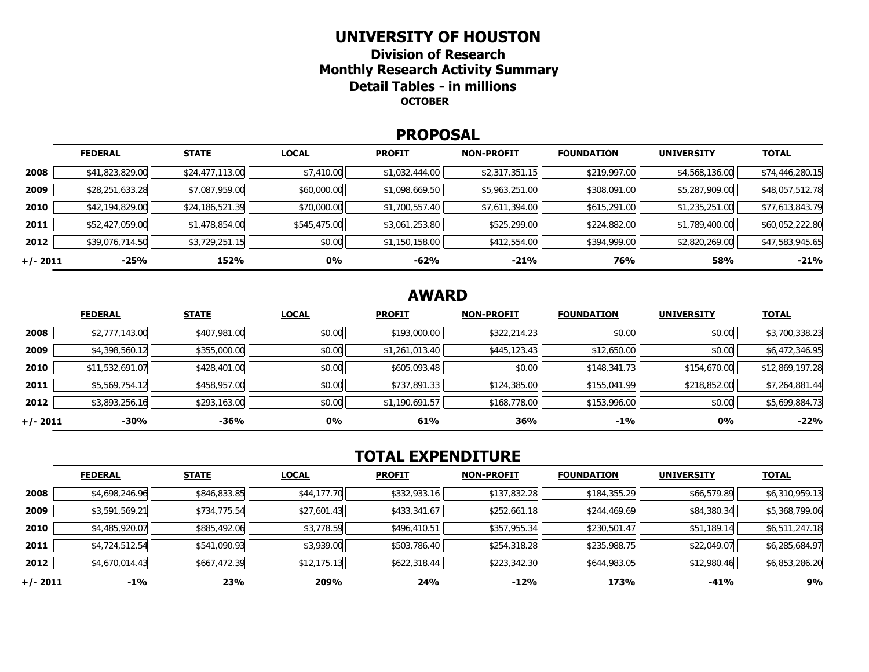#### **UNIVERSITY OF HOUSTON**

**Division of Research Monthly Research Activity Summary Detail Tables - in millions OCTOBER** 

#### **PROPOSAL**

|            | <b>FEDERAL</b>  | <b>STATE</b>    | <b>LOCAL</b> | <b>PROFIT</b>  | <b>NON-PROFIT</b> | <b>FOUNDATION</b> | <b>UNIVERSITY</b> | <b>TOTAL</b>    |
|------------|-----------------|-----------------|--------------|----------------|-------------------|-------------------|-------------------|-----------------|
| 2008       | \$41,823,829.00 | \$24,477,113.00 | \$7,410.00   | \$1,032,444.00 | \$2,317,351.15    | \$219,997.00      | \$4,568,136.00    | \$74,446,280.15 |
| 2009       | \$28,251,633.28 | \$7,087,959.00  | \$60,000.00  | \$1,098,669.50 | \$5,963,251.00    | \$308,091.00      | \$5,287,909.00    | \$48,057,512.78 |
| 2010       | \$42,194,829.00 | \$24,186,521.39 | \$70,000.00  | \$1,700,557.40 | \$7,611,394.00    | \$615,291.00      | \$1,235,251.00    | \$77,613,843.79 |
| 2011       | \$52,427,059.00 | \$1,478,854.00  | \$545,475.00 | \$3,061,253.80 | \$525,299.00      | \$224,882.00      | \$1,789,400.00    | \$60,052,222.80 |
| 2012       | \$39,076,714.50 | \$3,729,251.15  | \$0.00       | \$1,150,158.00 | \$412,554.00      | \$394,999.00      | \$2,820,269.00    | \$47,583,945.65 |
| $+/- 2011$ | $-25%$          | 152%            | 0%           | $-62%$         | $-21%$            | 76%               | 58%               | $-21%$          |

# **AWARD**

|          | <b>FEDERAL</b>  | <b>STATE</b> | <b>LOCAL</b> | <b>PROFIT</b>  | <b>NON-PROFIT</b> | <b>FOUNDATION</b> | <b>UNIVERSITY</b> | <u>TOTAL</u>    |
|----------|-----------------|--------------|--------------|----------------|-------------------|-------------------|-------------------|-----------------|
| 2008     | \$2,777,143.00  | \$407,981.00 | \$0.00       | \$193,000.00   | \$322,214.23      | \$0.00            | \$0.00            | \$3,700,338.23  |
| 2009     | \$4,398,560.12  | \$355,000.00 | \$0.00       | \$1,261,013.40 | \$445,123.43      | \$12,650.00       | \$0.00            | \$6,472,346.95  |
| 2010     | \$11,532,691.07 | \$428,401.00 | \$0.00       | \$605,093.48   | \$0.00            | \$148,341.73      | \$154,670.00      | \$12,869,197.28 |
| 2011     | \$5,569,754.12  | \$458,957.00 | \$0.00       | \$737,891.33   | \$124,385.00      | \$155,041.99      | \$218,852.00      | \$7,264,881.44  |
| 2012     | \$3,893,256.16  | \$293,163.00 | \$0.00       | \$1,190,691.57 | \$168,778.00      | \$153,996.00      | \$0.00            | \$5,699,884.73  |
| +/- 2011 | $-30%$          | $-36%$       | 0%           | 61%            | 36%               | $-1\%$            | 0%                | $-22%$          |

# **TOTAL EXPENDITURE**

|          | <b>FEDERAL</b> | <b>STATE</b> | <b>LOCAL</b> | <b>PROFIT</b> | <b>NON-PROFIT</b> | <b>FOUNDATION</b> | <b>UNIVERSITY</b> | <b>TOTAL</b>   |
|----------|----------------|--------------|--------------|---------------|-------------------|-------------------|-------------------|----------------|
| 2008     | \$4,698,246.96 | \$846,833.85 | \$44,177.70  | \$332,933.16  | \$137,832.28      | \$184,355.29      | \$66,579.89       | \$6,310,959.13 |
| 2009     | \$3,591,569.21 | \$734,775.54 | \$27,601.43  | \$433,341.67  | \$252,661.18      | \$244,469.69      | \$84,380.34       | \$5,368,799.06 |
| 2010     | \$4,485,920.07 | \$885,492.06 | \$3,778.59   | \$496,410.51  | \$357,955.34      | \$230,501.47      | \$51,189.14       | \$6,511,247.18 |
| 2011     | \$4,724,512.54 | \$541,090.93 | \$3,939.00   | \$503,786.40  | \$254,318.28      | \$235,988.75      | \$22,049.07       | \$6,285,684.97 |
| 2012     | \$4,670,014.43 | \$667,472.39 | \$12,175.13  | \$622,318.44  | \$223,342.30      | \$644,983.05      | \$12,980.46       | \$6,853,286.20 |
| +/- 2011 | $-1\%$         | 23%          | 209%         | 24%           | $-12%$            | 173%              | -41%              | 9%             |